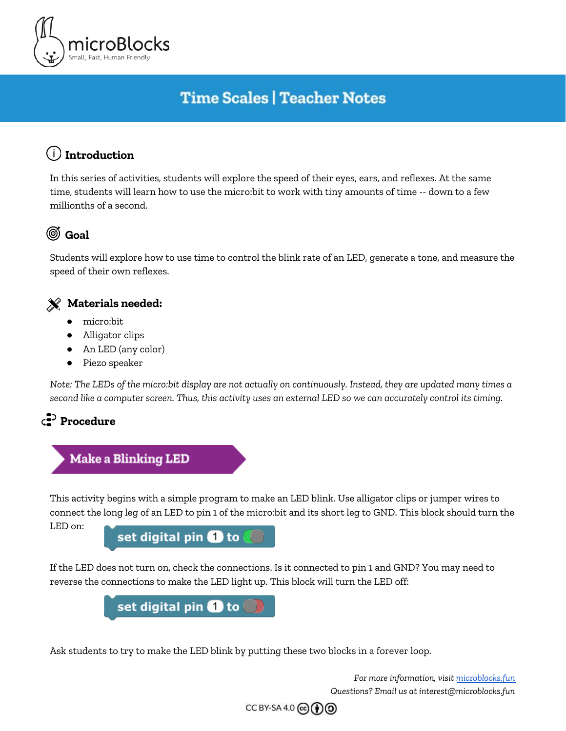

# **Time Scales | Teacher Notes**

## **Introduction**

In this series of activities, students will explore the speed of their eyes, ears, and reflexes. At the same time, students will learn how to use the micro:bit to work with tiny amounts of time -- down to a few millionths of a second.

## **Goal**

Students will explore how to use time to control the blink rate of an LED, generate a tone, and measure the speed of their own reflexes.

#### **Materials needed:**

- micro:bit
- Alligator clips
- An LED (any color)
- Piezo speaker

Note: The LEDs of the micro:bit display are not actually on continuously. Instead, they are updated many times a second like a computer screen. Thus, this activity uses an external LED so we can accurately control its timing.



## **Make a Blinking LED**

This activity begins with a simple program to make an LED blink. Use alligator clips or jumper wires to connect the long leg of an LED to pin 1 of the micro:bit and its short leg to GND. This block should turn the

LED on:

set digital pin 1 to

If the LED does not turn on, check the connections. Is it connected to pin 1 and GND? You may need to reverse the connections to make the LED light up. This block will turn the LED off:



Ask students to try to make the LED blink by putting these two blocks in a forever loop.

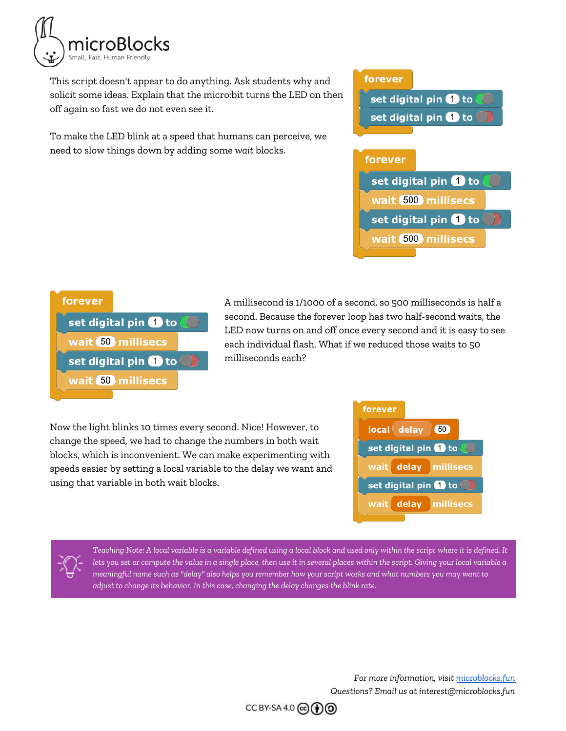

This script doesn't appear to do anything. Ask students why and solicit some ideas. Explain that the micro:bit turns the LED on then off again so fast we do not even see it.

To make the LED blink at a speed that humans can perceive, we need to slow things down by adding some *wait* blocks.

# forever set digital pin **1** to set digital pin **to** to forever set digital pin **1** to wait 500 millisecs set digital pin **O** to wait 500 millisecs

| forever              |  |
|----------------------|--|
| set digital pin to   |  |
| wait 50 millisecs    |  |
| set digital pin 1 to |  |
| wait 50 millisecs    |  |
|                      |  |

A millisecond is 1/1000 of a second, so 500 milliseconds is half a second. Because the forever loop has two half-second waits, the LED now turns on and off once every second and it is easy to see each individual flash. What if we reduced those waits to 50 milliseconds each?

Now the light blinks 10 times every second. Nice! However, to change the speed, we had to change the numbers in both wait blocks, which is inconvenient. We can make experimenting with speeds easier by setting a local variable to the delay we want and using that variable in both wait blocks.



Teaching Note: A local variable is a variable defined using a local block and used only within the script where it is defined. It lets you set or compute the value in a single place, then use it in several places within the script. Giving your local variable a meaningful name such as "delay" also helps you remember how your script works and what numbers you may want to *adjust to change its behavior. In this case, changing the delay changes the blink rate.*

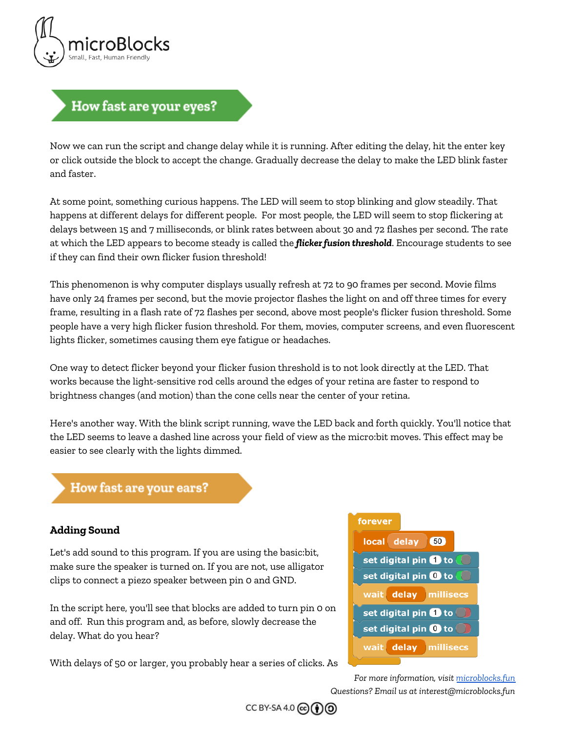

### How fast are your eyes?

Now we can run the script and change delay while it is running. After editing the delay, hit the enter key or click outside the block to accept the change. Gradually decrease the delay to make the LED blink faster and faster.

At some point, something curious happens. The LED will seem to stop blinking and glow steadily. That happens at different delays for different people. For most people, the LED will seem to stop flickering at delays between 15 and 7 milliseconds, or blink rates between about 30 and 72 flashes per second. The rate at which the LED appears to become steady is called the *flicker fusion threshold*. Encourage students to see if they can find their own flicker fusion threshold!

This phenomenon is why computer displays usually refresh at 72 to 90 frames per second. Movie films have only 24 frames per second, but the movie projector flashes the light on and off three times for every frame, resulting in a flash rate of 72 flashes per second, above most people's flicker fusion threshold. Some people have a very high flicker fusion threshold. For them, movies, computer screens, and even fluorescent lights flicker, sometimes causing them eye fatigue or headaches.

One way to detect flicker beyond your flicker fusion threshold is to not look directly at the LED. That works because the light-sensitive rod cells around the edges of your retina are faster to respond to brightness changes (and motion) than the cone cells near the center of your retina.

Here's another way. With the blink script running, wave the LED back and forth quickly. You'll notice that the LED seems to leave a dashed line across your field of view as the micro:bit moves. This effect may be easier to see clearly with the lights dimmed.

#### How fast are your ears?

#### **Adding Sound**

Let's add sound to this program. If you are using the basic:bit, make sure the speaker is turned on. If you are not, use alligator clips to connect a piezo speaker between pin 0 and GND.

In the script here, you'll see that blocks are added to turn pin 0 on and off. Run this program and, as before, slowly decrease the delay. What do you hear?

With delays of 50 or larger, you probably hear a series of clicks. As



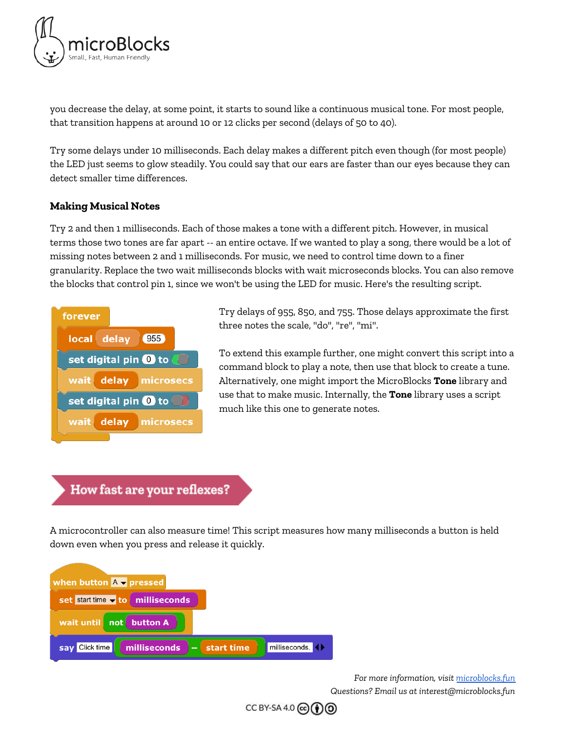

you decrease the delay, at some point, it starts to sound like a continuous musical tone. For most people, that transition happens at around 10 or 12 clicks per second (delays of 50 to 40).

Try some delays under 10 milliseconds. Each delay makes a different pitch even though (for most people) the LED just seems to glow steadily. You could say that our ears are faster than our eyes because they can detect smaller time differences.

#### **Making Musical Notes**

Try 2 and then 1 milliseconds. Each of those makes a tone with a different pitch. However, in musical terms those two tones are far apart -- an entire octave. If we wanted to play a song, there would be a lot of missing notes between 2 and 1 milliseconds. For music, we need to control time down to a finer granularity. Replace the two wait milliseconds blocks with wait microseconds blocks. You can also remove the blocks that control pin 1, since we won't be using the LED for music. Here's the resulting script.



Try delays of 955, 850, and 755. Those delays approximate the first three notes the scale, "do", "re", "mi".

To extend this example further, one might convert this script into a command block to play a note, then use that block to create a tune. Alternatively, one might import the MicroBlocks **Tone** library and use that to make music. Internally, the **Tone** library uses a script much like this one to generate notes.

#### How fast are your reflexes?

A microcontroller can also measure time! This script measures how many milliseconds a button is held down even when you press and release it quickly.